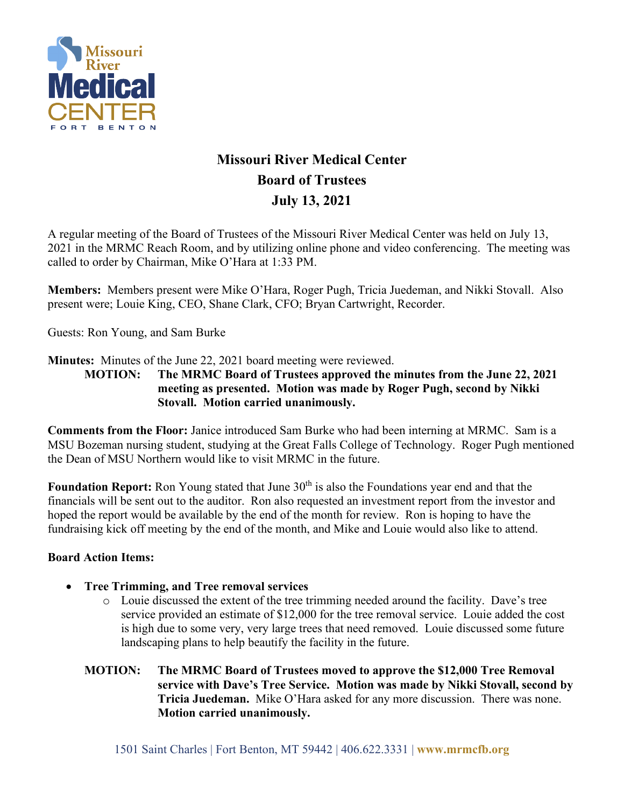

## **Missouri River Medical Center Board of Trustees July 13, 2021**

A regular meeting of the Board of Trustees of the Missouri River Medical Center was held on July 13, 2021 in the MRMC Reach Room, and by utilizing online phone and video conferencing. The meeting was called to order by Chairman, Mike O'Hara at 1:33 PM.

**Members:** Members present were Mike O'Hara, Roger Pugh, Tricia Juedeman, and Nikki Stovall. Also present were; Louie King, CEO, Shane Clark, CFO; Bryan Cartwright, Recorder.

Guests: Ron Young, and Sam Burke

**Minutes:** Minutes of the June 22, 2021 board meeting were reviewed.

**MOTION: The MRMC Board of Trustees approved the minutes from the June 22, 2021 meeting as presented. Motion was made by Roger Pugh, second by Nikki Stovall. Motion carried unanimously.**

**Comments from the Floor:** Janice introduced Sam Burke who had been interning at MRMC. Sam is a MSU Bozeman nursing student, studying at the Great Falls College of Technology. Roger Pugh mentioned the Dean of MSU Northern would like to visit MRMC in the future.

**Foundation Report:** Ron Young stated that June 30<sup>th</sup> is also the Foundations year end and that the financials will be sent out to the auditor. Ron also requested an investment report from the investor and hoped the report would be available by the end of the month for review. Ron is hoping to have the fundraising kick off meeting by the end of the month, and Mike and Louie would also like to attend.

## **Board Action Items:**

- **Tree Trimming, and Tree removal services**
	- o Louie discussed the extent of the tree trimming needed around the facility. Dave's tree service provided an estimate of \$12,000 for the tree removal service. Louie added the cost is high due to some very, very large trees that need removed. Louie discussed some future landscaping plans to help beautify the facility in the future.
	- **MOTION: The MRMC Board of Trustees moved to approve the \$12,000 Tree Removal service with Dave's Tree Service. Motion was made by Nikki Stovall, second by Tricia Juedeman.** Mike O'Hara asked for any more discussion. There was none. **Motion carried unanimously.**